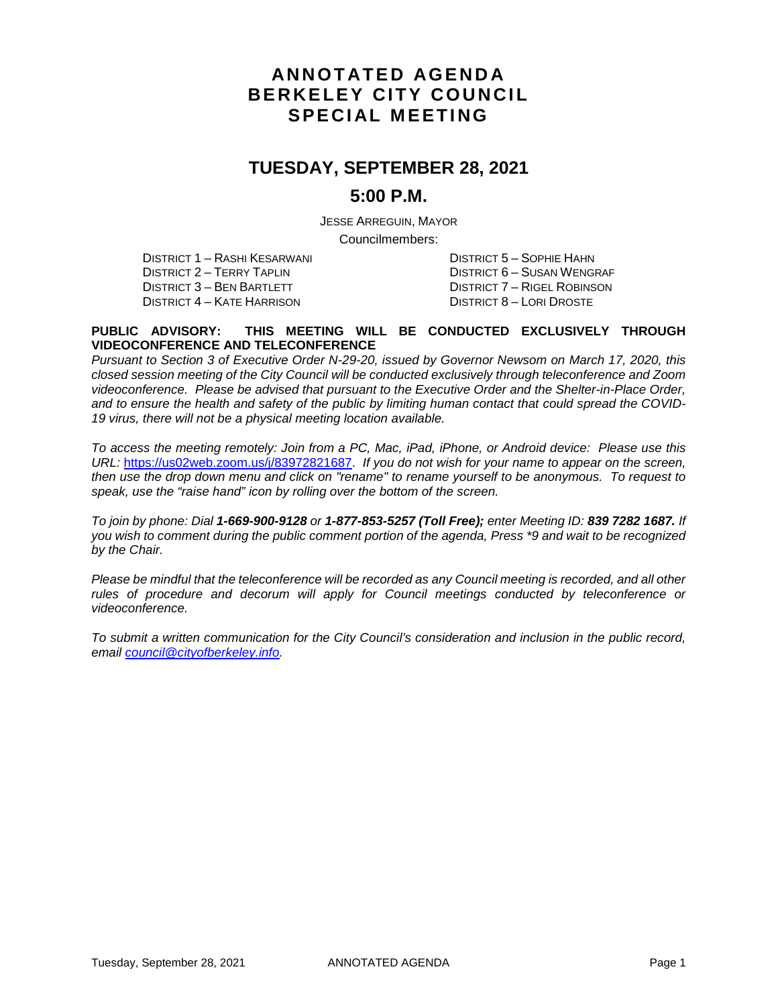# **ANNOTATED AGENDA BERKELEY CITY COUNCIL SPECIAL MEETING**

# **TUESDAY, SEPTEMBER 28, 2021**

### **5:00 P.M.**

JESSE ARREGUIN, MAYOR

Councilmembers:

DISTRICT 1 – RASHI KESARWANI DISTRICT 5 – SOPHIE HAHN DISTRICT 2 – TERRY TAPLIN DISTRICT 6 – SUSAN WENGRAF<br>DISTRICT 3 – BEN BARTLETT DISTRICT 7 – RIGEL ROBINSON DISTRICT 4 – KATE HARRISON

DISTRICT 7 – RIGEL ROBINSON<br>DISTRICT 8 – LORI DROSTE

#### **PUBLIC ADVISORY: THIS MEETING WILL BE CONDUCTED EXCLUSIVELY THROUGH VIDEOCONFERENCE AND TELECONFERENCE**

*Pursuant to Section 3 of Executive Order N-29-20, issued by Governor Newsom on March 17, 2020, this closed session meeting of the City Council will be conducted exclusively through teleconference and Zoom videoconference. Please be advised that pursuant to the Executive Order and the Shelter-in-Place Order, and to ensure the health and safety of the public by limiting human contact that could spread the COVID-19 virus, there will not be a physical meeting location available.* 

*To access the meeting remotely: Join from a PC, Mac, iPad, iPhone, or Android device: Please use this URL:* [https://us02web.zoom.us/j/83972821687.](https://us02web.zoom.us/j/83972821687) *If you do not wish for your name to appear on the screen, then use the drop down menu and click on "rename" to rename yourself to be anonymous. To request to speak, use the "raise hand" icon by rolling over the bottom of the screen.* 

*To join by phone: Dial 1-669-900-9128 or 1-877-853-5257 (Toll Free); enter Meeting ID: 839 7282 1687. If you wish to comment during the public comment portion of the agenda, Press \*9 and wait to be recognized by the Chair.* 

*Please be mindful that the teleconference will be recorded as any Council meeting is recorded, and all other rules of procedure and decorum will apply for Council meetings conducted by teleconference or videoconference.*

*To submit a written communication for the City Council's consideration and inclusion in the public record, email [council@cityofberkeley.info.](mailto:council@cityofberkeley.info)*